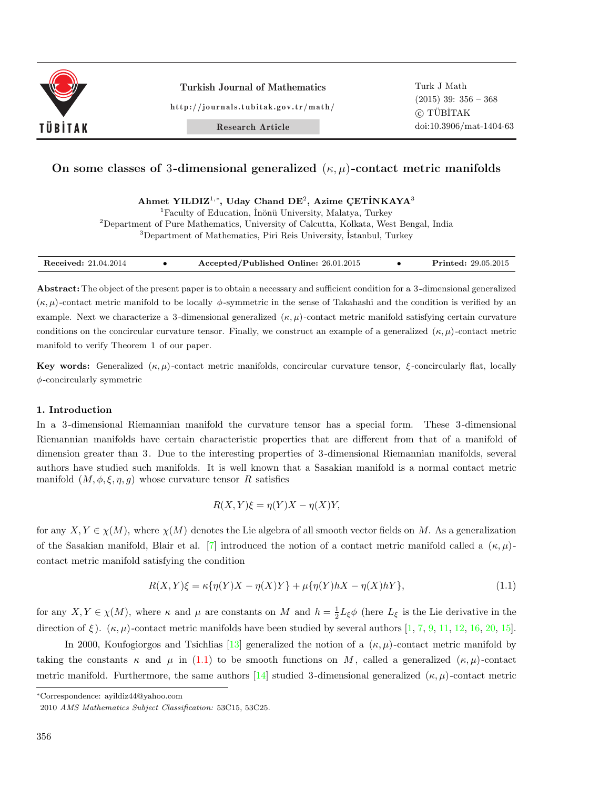

Turkish Journal of Mathematics

http://journals.tubitak.gov.tr/math/

Research Article

# **On some classes of** 3**-dimensional generalized** (*κ, µ*)**-contact metric manifolds**

 $A$ hmet YILDIZ<sup>1,\*</sup>, Uday Chand DE<sup>2</sup>, Azime ÇETİNKAYA<sup>3</sup>

<sup>1</sup>Faculty of Education, İnönü University, Malatya, Turkey <sup>2</sup>Department of Pure Mathematics, University of Calcutta, Kolkata, West Bengal, India

<sup>3</sup>Department of Mathematics, Piri Reis University, Istanbul, Turkey

| <b>Received:</b> 21.04.2014 | Accepted/Published Online: 26.01.2015 | <b>Printed:</b> 29.05.2015 |
|-----------------------------|---------------------------------------|----------------------------|

**Abstract:** The object of the present paper is to obtain a necessary and sufficient condition for a 3 -dimensional generalized (*κ, µ*) -contact metric manifold to be locally *ϕ*-symmetric in the sense of Takahashi and the condition is verified by an example. Next we characterize a 3-dimensional generalized  $(\kappa, \mu)$ -contact metric manifold satisfying certain curvature conditions on the concircular curvature tensor. Finally, we construct an example of a generalized  $(\kappa, \mu)$ -contact metric manifold to verify Theorem 1 of our paper.

**Key words:** Generalized  $(\kappa, \mu)$ -contact metric manifolds, concircular curvature tensor,  $\xi$ -concircularly flat, locally *ϕ*-concircularly symmetric

### **1. Introduction**

In a 3 -dimensional Riemannian manifold the curvature tensor has a special form. These 3 -dimensional Riemannian manifolds have certain characteristic properties that are different from that of a manifold of dimension greater than 3. Due to the interesting properties of 3 -dimensional Riemannian manifolds, several authors have studied such manifolds. It is well known that a Sasakian manifold is a normal contact metric manifold  $(M, \phi, \xi, \eta, g)$  whose curvature tensor *R* satisfies

<span id="page-0-0"></span>
$$
R(X,Y)\xi = \eta(Y)X - \eta(X)Y,
$$

for any  $X, Y \in \chi(M)$ , where  $\chi(M)$  denotes the Lie algebra of all smooth vector fields on M. As a generalization of the Sasakian manifold, Blair et al. [[7](#page-11-0)] introduced the notion of a contact metric manifold called a (*κ, µ*) contact metric manifold satisfying the condition

$$
R(X,Y)\xi = \kappa \{ \eta(Y)X - \eta(X)Y \} + \mu \{ \eta(Y)hX - \eta(X)hY \},
$$
\n(1.1)

for any  $X, Y \in \chi(M)$ , where  $\kappa$  and  $\mu$  are constants on  $M$  and  $h = \frac{1}{2}L_{\xi}\phi$  (here  $L_{\xi}$  is the Lie derivative in the direction of  $\xi$ ). ( $\kappa, \mu$ )-contact metric manifolds have been studied by several authors [[1](#page-11-1), [7,](#page-11-0) [9](#page-11-2), [11,](#page-11-3) [12](#page-11-4), [16,](#page-11-5) [20](#page-12-0), [15\]](#page-11-6).

In 2000, Koufogiorgos and Tsichlias [\[13](#page-11-7)] generalized the notion of a  $(\kappa, \mu)$ -contact metric manifold by taking the constants  $\kappa$  and  $\mu$  in ([1.1\)](#page-0-0) to be smooth functions on M, called a generalized  $(\kappa, \mu)$ -contact metric manifold. Furthermore, the same authors [[14](#page-11-8)] studied 3 -dimensional generalized (*κ, µ*) -contact metric

*<sup>∗</sup>*Correspondence: ayildiz44@yahoo.com

<sup>2010</sup> *AMS Mathematics Subject Classification:* 53C15, 53C25.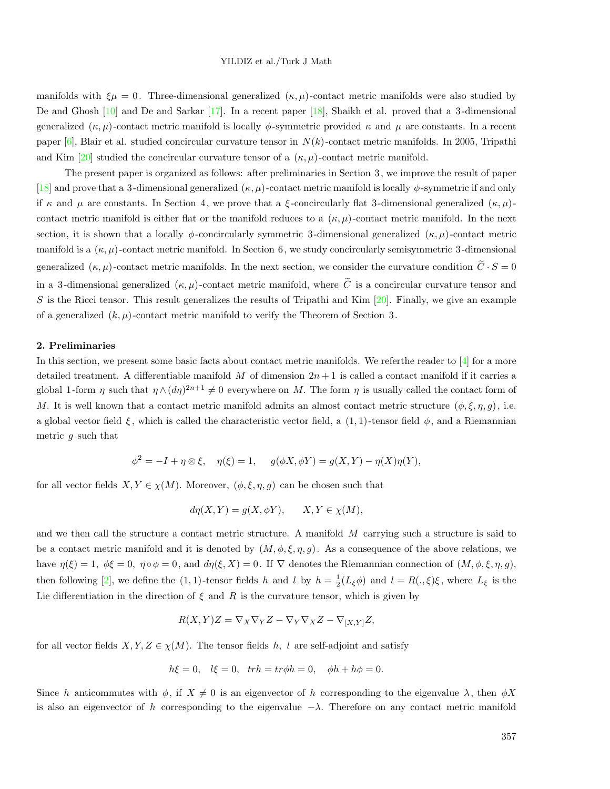manifolds with  $\xi\mu = 0$ . Three-dimensional generalized  $(\kappa, \mu)$ -contact metric manifolds were also studied by De and Ghosh [[10\]](#page-11-9) and De and Sarkar [\[17](#page-12-1)]. In a recent paper [[18\]](#page-12-2), Shaikh et al. proved that a 3 -dimensional generalized  $(\kappa, \mu)$ -contact metric manifold is locally  $\phi$ -symmetric provided  $\kappa$  and  $\mu$  are constants. In a recent paper [\[6](#page-11-10)], Blair et al. studied concircular curvature tensor in *N*(*k*) -contact metric manifolds. In 2005, Tripathi and Kim  $[20]$  $[20]$  studied the concircular curvature tensor of a  $(\kappa, \mu)$ -contact metric manifold.

The present paper is organized as follows: after preliminaries in Section 3, we improve the result of paper [\[18](#page-12-2)] and prove that a 3 -dimensional generalized (*κ, µ*) -contact metric manifold is locally *ϕ*-symmetric if and only if  $\kappa$  and  $\mu$  are constants. In Section 4, we prove that a *ξ*-concircularly flat 3-dimensional generalized  $(\kappa, \mu)$ contact metric manifold is either flat or the manifold reduces to a  $(\kappa, \mu)$ -contact metric manifold. In the next section, it is shown that a locally  $\phi$ -concircularly symmetric 3-dimensional generalized  $(\kappa, \mu)$ -contact metric manifold is a  $(\kappa, \mu)$ -contact metric manifold. In Section 6, we study concircularly semisymmetric 3-dimensional generalized  $(\kappa, \mu)$ -contact metric manifolds. In the next section, we consider the curvature condition  $\tilde{C} \cdot S = 0$ in a 3-dimensional generalized  $(\kappa, \mu)$ -contact metric manifold, where  $\tilde{C}$  is a concircular curvature tensor and *S* is the Ricci tensor. This result generalizes the results of Tripathi and Kim [[20\]](#page-12-0). Finally, we give an example of a generalized  $(k, \mu)$ -contact metric manifold to verify the Theorem of Section 3.

#### **2. Preliminaries**

In this section, we present some basic facts about contact metric manifolds. We refer the reader to [[4\]](#page-11-11) for a more detailed treatment. A differentiable manifold *M* of dimension 2*n* + 1 is called a contact manifold if it carries a global 1-form  $\eta$  such that  $\eta \wedge (d\eta)^{2n+1} \neq 0$  everywhere on *M*. The form  $\eta$  is usually called the contact form of *M*. It is well known that a contact metric manifold admits an almost contact metric structure  $(\phi, \xi, \eta, g)$ , i.e. a global vector field  $\xi$ , which is called the characteristic vector field, a  $(1,1)$ -tensor field  $\phi$ , and a Riemannian metric *g* such that

$$
\phi^2 = -I + \eta \otimes \xi, \quad \eta(\xi) = 1, \quad g(\phi X, \phi Y) = g(X, Y) - \eta(X)\eta(Y),
$$

for all vector fields  $X, Y \in \chi(M)$ . Moreover,  $(\phi, \xi, \eta, g)$  can be chosen such that

$$
d\eta(X, Y) = g(X, \phi Y), \qquad X, Y \in \chi(M),
$$

and we then call the structure a contact metric structure. A manifold *M* carrying such a structure is said to be a contact metric manifold and it is denoted by  $(M, \phi, \xi, \eta, g)$ . As a consequence of the above relations, we have  $\eta(\xi) = 1, \ \phi \xi = 0, \ \eta \circ \phi = 0$ , and  $d\eta(\xi, X) = 0$ . If  $\nabla$  denotes the Riemannian connection of  $(M, \phi, \xi, \eta, g)$ , then following [\[2](#page-11-12)], we define the (1,1)-tensor fields *h* and *l* by  $h = \frac{1}{2}(L_{\xi}\phi)$  and  $l = R(.,\xi)\xi$ , where  $L_{\xi}$  is the Lie differentiation in the direction of  $\xi$  and  $R$  is the curvature tensor, which is given by

$$
R(X,Y)Z = \nabla_X \nabla_Y Z - \nabla_Y \nabla_X Z - \nabla_{[X,Y]} Z,
$$

for all vector fields  $X, Y, Z \in \chi(M)$ . The tensor fields *h*, *l* are self-adjoint and satisfy

$$
h\xi = 0
$$
,  $l\xi = 0$ ,  $trh = tr\phi h = 0$ ,  $\phi h + h\phi = 0$ .

Since *h* anticommutes with  $\phi$ , if  $X \neq 0$  is an eigenvector of *h* corresponding to the eigenvalue  $\lambda$ , then  $\phi X$ is also an eigenvector of *h* corresponding to the eigenvalue *−λ.* Therefore on any contact metric manifold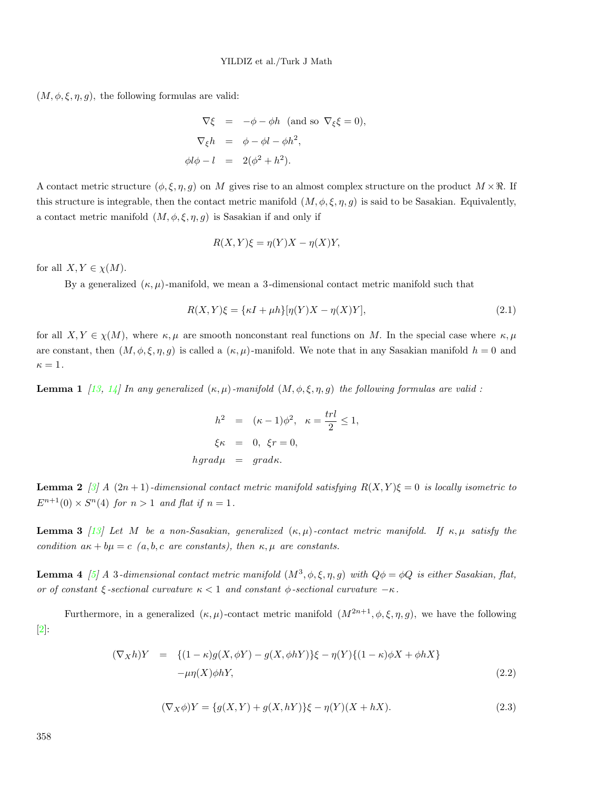$(M, \phi, \xi, \eta, g)$ , the following formulas are valid:

$$
\nabla \xi = -\phi - \phi h \text{ (and so } \nabla_{\xi} \xi = 0),
$$
  

$$
\nabla_{\xi} h = \phi - \phi l - \phi h^{2},
$$
  

$$
\phi l \phi - l = 2(\phi^{2} + h^{2}).
$$

A contact metric structure  $(\phi, \xi, \eta, g)$  on *M* gives rise to an almost complex structure on the product  $M \times \mathbb{R}$ . If this structure is integrable, then the contact metric manifold  $(M, \phi, \xi, \eta, g)$  is said to be Sasakian. Equivalently, a contact metric manifold  $(M, \phi, \xi, \eta, g)$  is Sasakian if and only if

$$
R(X,Y)\xi = \eta(Y)X - \eta(X)Y,
$$

for all  $X, Y \in \chi(M)$ .

By a generalized  $(\kappa, \mu)$ -manifold, we mean a 3-dimensional contact metric manifold such that

$$
R(X,Y)\xi = \{\kappa I + \mu h\}[\eta(Y)X - \eta(X)Y],\tag{2.1}
$$

for all  $X, Y \in \chi(M)$ , where  $\kappa, \mu$  are smooth nonconstant real functions on M. In the special case where  $\kappa, \mu$ are constant, then  $(M, \phi, \xi, \eta, g)$  is called a  $(\kappa, \mu)$ -manifold. We note that in any Sasakian manifold  $h = 0$  and  $\kappa=1$ .

**Lemma 1** [[13](#page-11-7), [14\]](#page-11-8) In any generalized  $(\kappa, \mu)$ -manifold  $(M, \phi, \xi, \eta, g)$  the following formulas are valid :

$$
h2 = (\kappa - 1)\phi2, \kappa = \frac{trl}{2} \le 1,
$$
  

$$
\xi\kappa = 0, \xi r = 0,
$$
  

$$
hgrad\mu = grad\kappa.
$$

**Lemma 2**  $\lceil \frac{3}{4} \rceil$  $\lceil \frac{3}{4} \rceil$  $\lceil \frac{3}{4} \rceil$  A  $(2n+1)$ *-dimensional contact metric manifold satisfying*  $R(X, Y)\xi = 0$  *is locally isometric to*  $E^{n+1}(0) \times S^n(4)$  *for*  $n > 1$  *and flat if*  $n = 1$ *.* 

**Lemma 3** [[13](#page-11-7)] Let M be a non-Sasakian, generalized  $(\kappa, \mu)$ -contact metric manifold. If  $\kappa, \mu$  satisfy the *condition*  $a\kappa + b\mu = c$  (*a, b, c are constants), then*  $\kappa, \mu$  *are constants.* 

**Lemma 4** [[5](#page-11-14)] A 3-dimensional contact metric manifold  $(M^3, \phi, \xi, \eta, g)$  with  $Q\phi = \phi Q$  is either Sasakian, flat, *or of constant*  $\xi$ -*sectional curvature*  $\kappa < 1$  *and constant*  $\phi$ -*sectional curvature*  $-\kappa$ *.* 

Furthermore, in a generalized  $(\kappa, \mu)$ -contact metric manifold  $(M^{2n+1}, \phi, \xi, \eta, g)$ , we have the following [\[2](#page-11-12)]:

$$
(\nabla_X h)Y = \{(1 - \kappa)g(X, \phi Y) - g(X, \phi hY)\}\xi - \eta(Y)\{(1 - \kappa)\phi X + \phi hX\}
$$
  
- $\mu\eta(X)\phi hY,$  (2.2)

$$
(\nabla_X \phi)Y = \{g(X, Y) + g(X, hY)\}\xi - \eta(Y)(X + hX). \tag{2.3}
$$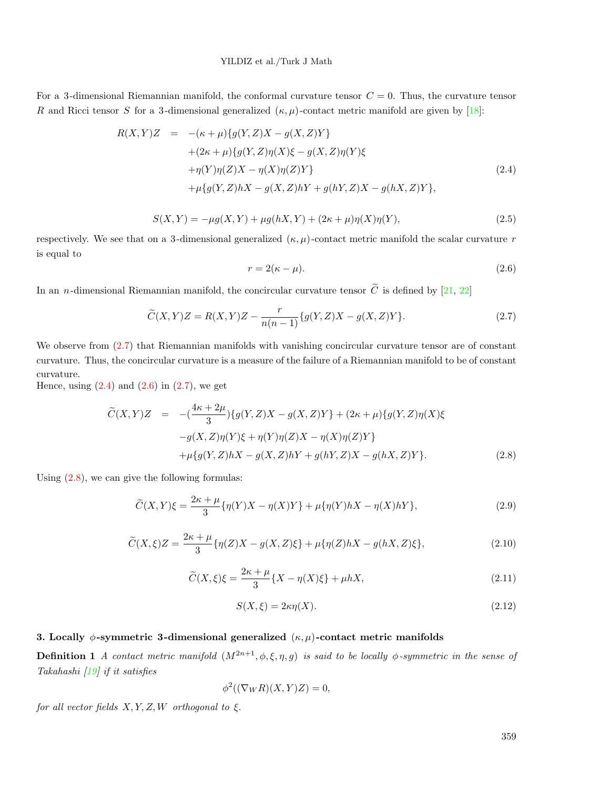## YILDIZ et al./Turk J Math

For a 3-dimensional Riemannian manifold, the conformal curvature tensor  $C = 0$ . Thus, the curvature tensor *R* and Ricci tensor *S* for a 3-dimensional generalized  $(\kappa, \mu)$ -contact metric manifold are given by [[18\]](#page-12-2):

<span id="page-3-1"></span>
$$
R(X,Y)Z = -(\kappa + \mu)\{g(Y,Z)X - g(X,Z)Y\} + (2\kappa + \mu)\{g(Y,Z)\eta(X)\xi - g(X,Z)\eta(Y)\xi + \eta(Y)\eta(Z)X - \eta(X)\eta(Z)Y\} + \mu\{g(Y,Z)hX - g(X,Z)hY + g(hY,Z)X - g(hX,Z)Y\},
$$
(2.4)

$$
S(X,Y) = -\mu g(X,Y) + \mu g(hX,Y) + (2\kappa + \mu)\eta(X)\eta(Y),
$$
\n(2.5)

<span id="page-3-2"></span>respectively. We see that on a 3-dimensional generalized  $(\kappa, \mu)$ -contact metric manifold the scalar curvature *r* is equal to

<span id="page-3-0"></span>
$$
r = 2(\kappa - \mu). \tag{2.6}
$$

In an *n*-dimensional Riemannian manifold, the concircular curvature tensor  $\tilde{C}$  is defined by [\[21](#page-12-3), [22](#page-12-4)]

$$
\widetilde{C}(X,Y)Z = R(X,Y)Z - \frac{r}{n(n-1)}\{g(Y,Z)X - g(X,Z)Y\}.
$$
\n(2.7)

We observe from  $(2.7)$  that Riemannian manifolds with vanishing concircular curvature tensor are of constant curvature. Thus, the concircular curvature is a measure of the failure of a Riemannian manifold to be of constant curvature.

Hence, using  $(2.4)$  $(2.4)$  and  $(2.6)$  in  $(2.7)$  $(2.7)$ , we get

<span id="page-3-3"></span>
$$
\widetilde{C}(X,Y)Z = -(\frac{4\kappa + 2\mu}{3})\{g(Y,Z)X - g(X,Z)Y\} + (2\kappa + \mu)\{g(Y,Z)\eta(X)\xi
$$
  
\n
$$
-g(X,Z)\eta(Y)\xi + \eta(Y)\eta(Z)X - \eta(X)\eta(Z)Y\}
$$
  
\n
$$
+ \mu\{g(Y,Z)hX - g(X,Z)hY + g(hY,Z)X - g(hX,Z)Y\}.
$$
\n(2.8)

<span id="page-3-5"></span>Using [\(2.8](#page-3-3)), we can give the following formulas:

<span id="page-3-4"></span>
$$
\widetilde{C}(X,Y)\xi = \frac{2\kappa + \mu}{3} \{\eta(Y)X - \eta(X)Y\} + \mu \{\eta(Y)hX - \eta(X)hY\},\tag{2.9}
$$

$$
\widetilde{C}(X,\xi)Z = \frac{2\kappa + \mu}{3} \{\eta(Z)X - g(X,Z)\xi\} + \mu \{\eta(Z)hX - g(hX,Z)\xi\},\tag{2.10}
$$

$$
\widetilde{C}(X,\xi)\xi = \frac{2\kappa + \mu}{3} \{X - \eta(X)\xi\} + \mu h X,\tag{2.11}
$$

$$
S(X,\xi) = 2\kappa \eta(X). \tag{2.12}
$$

### **3. Locally** *ϕ***-symmetric 3 -dimensional generalized** (*κ, µ*)**-contact metric manifolds**

**Definition 1** *A contact metric manifold*  $(M^{2n+1}, \phi, \xi, \eta, g)$  *is said to be locally*  $\phi$ -symmetric in the sense of *Takahashi [[19\]](#page-12-5) if it satisfies*

$$
\phi^2((\nabla_W R)(X,Y)Z) = 0,
$$

*for all vector fields*  $X, Y, Z, W$  *orthogonal to*  $\xi$ .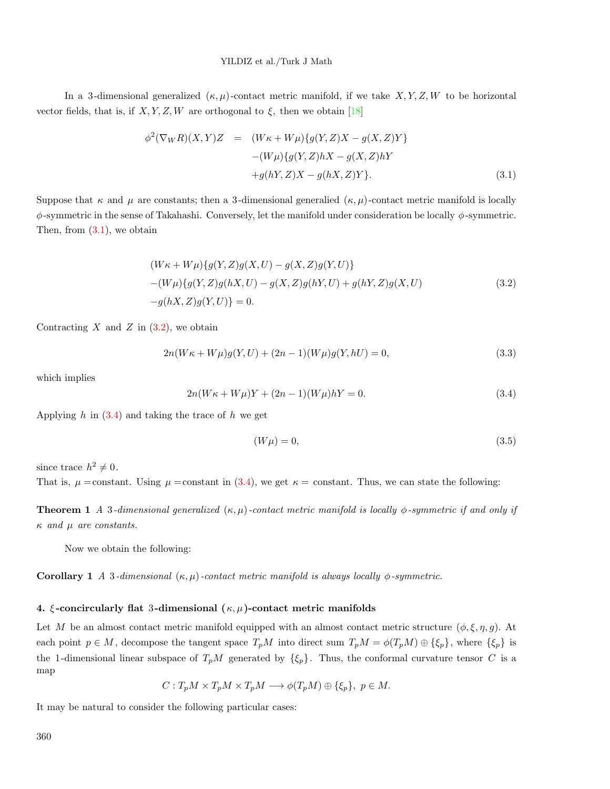#### YILDIZ et al./Turk J Math

In a 3-dimensional generalized  $(\kappa, \mu)$ -contact metric manifold, if we take *X, Y, Z, W* to be horizontal vector fields, that is, if  $X, Y, Z, W$  are orthogonal to  $\xi$ , then we obtain [\[18](#page-12-2)]

<span id="page-4-0"></span>
$$
\phi^2(\nabla_W R)(X,Y)Z = (W\kappa + W\mu)\{g(Y,Z)X - g(X,Z)Y\}
$$

$$
-(W\mu)\{g(Y,Z)hX - g(X,Z)hY
$$

$$
+g(hY,Z)X - g(hX,Z)Y\}.
$$
(3.1)

Suppose that  $\kappa$  and  $\mu$  are constants; then a 3-dimensional generalied  $(\kappa, \mu)$ -contact metric manifold is locally *ϕ*-symmetric in the sense of Takahashi. Conversely, let the manifold under consideration be locally *ϕ*-symmetric. Then, from  $(3.1)$  $(3.1)$ , we obtain

<span id="page-4-1"></span>
$$
(W\kappa + W\mu)\{g(Y, Z)g(X, U) - g(X, Z)g(Y, U)\}
$$
  
-(W\mu)\{g(Y, Z)g(hX, U) - g(X, Z)g(hY, U) + g(hY, Z)g(X, U)  
-g(hX, Z)g(Y, U)\} = 0. (3.2)

Contracting  $X$  and  $Z$  in  $(3.2)$  $(3.2)$  $(3.2)$ , we obtain

$$
2n(W\kappa + W\mu)g(Y, U) + (2n - 1)(W\mu)g(Y, hU) = 0,
$$
\n(3.3)

<span id="page-4-2"></span>which implies

$$
2n(W\kappa + W\mu)Y + (2n - 1)(W\mu)hY = 0.
$$
\n(3.4)

Applying *h* in [\(3.4](#page-4-2)) and taking the trace of *h* we get

$$
(W\mu) = 0,\t\t(3.5)
$$

since trace  $h^2 \neq 0$ .

That is,  $\mu$  =constant. Using  $\mu$  =constant in ([3.4\)](#page-4-2), we get  $\kappa$  = constant. Thus, we can state the following:

**Theorem 1** *A* 3*-dimensional generalized* (*κ, µ*)*-contact metric manifold is locally ϕ-symmetric if and only if κ and µ are constants.*

Now we obtain the following:

**Corollary 1** *A* 3*-dimensional*  $(\kappa, \mu)$ *-contact metric manifold is always locally*  $\phi$ *-symmetric.* 

#### **4.** *ξ* **-concircularly flat** 3**-dimensional (***κ, µ***)-contact metric manifolds**

Let *M* be an almost contact metric manifold equipped with an almost contact metric structure  $(\phi, \xi, \eta, g)$ . At each point  $p \in M$ , decompose the tangent space  $T_pM$  into direct sum  $T_pM = \phi(T_pM) \oplus {\xi_p}$ , where  ${\xi_p}$  is the 1-dimensional linear subspace of  $T_pM$  generated by  $\{\xi_p\}$ . Thus, the conformal curvature tensor *C* is a map

$$
C: T_p M \times T_p M \times T_p M \longrightarrow \phi(T_p M) \oplus \{\xi_p\}, \ p \in M.
$$

It may be natural to consider the following particular cases: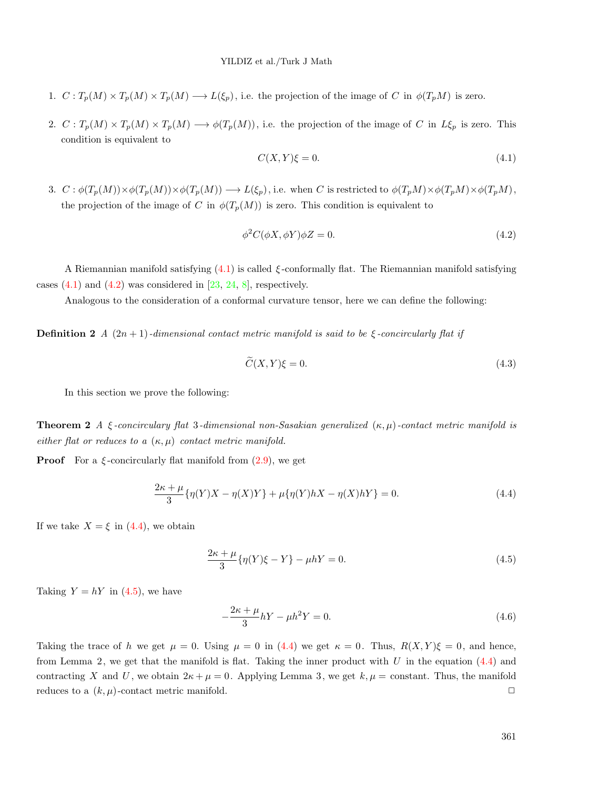- 1.  $C: T_p(M) \times T_p(M) \times T_p(M) \longrightarrow L(\xi_p)$ , i.e. the projection of the image of C in  $\phi(T_pM)$  is zero.
- 2.  $C: T_p(M) \times T_p(M) \times T_p(M) \longrightarrow \phi(T_p(M))$ , i.e. the projection of the image of C in  $L\xi_p$  is zero. This condition is equivalent to

<span id="page-5-1"></span><span id="page-5-0"></span>
$$
C(X,Y)\xi = 0.\t\t(4.1)
$$

3.  $C : \phi(T_p(M)) \times \phi(T_p(M)) \times \phi(T_p(M)) \longrightarrow L(\xi_p)$ , i.e. when C is restricted to  $\phi(T_pM) \times \phi(T_pM) \times \phi(T_pM)$ , the projection of the image of *C* in  $\phi(T_p(M))$  is zero. This condition is equivalent to

$$
\phi^2 C(\phi X, \phi Y)\phi Z = 0. \tag{4.2}
$$

A Riemannian manifold satisfying ([4.1\)](#page-5-0) is called *ξ* -conformally flat. The Riemannian manifold satisfying cases  $(4.1)$  $(4.1)$  and  $(4.2)$  $(4.2)$  $(4.2)$  was considered in  $[23, 24, 8]$  $[23, 24, 8]$  $[23, 24, 8]$  $[23, 24, 8]$  $[23, 24, 8]$  $[23, 24, 8]$ , respectively.

Analogous to the consideration of a conformal curvature tensor, here we can define the following:

**Definition 2** *A*  $(2n + 1)$ *-dimensional contact metric manifold is said to be*  $\xi$ *-concircularly flat if* 

<span id="page-5-2"></span>
$$
\widetilde{C}(X,Y)\xi = 0.\tag{4.3}
$$

In this section we prove the following:

**Theorem 2** *A ξ -concirculary flat* 3*-dimensional non-Sasakian generalized* (*κ, µ*)*-contact metric manifold is either flat or reduces to a* (*κ, µ*) *contact metric manifold.*

**Proof** For a  $\xi$ -concircularly flat manifold from  $(2.9)$  $(2.9)$  $(2.9)$ , we get

$$
\frac{2\kappa + \mu}{3} \{\eta(Y)X - \eta(X)Y\} + \mu \{\eta(Y)hX - \eta(X)hY\} = 0.
$$
 (4.4)

If we take  $X = \xi$  in ([4.4](#page-5-2)), we obtain

<span id="page-5-3"></span>
$$
\frac{2\kappa + \mu}{3} \{\eta(Y)\xi - Y\} - \mu hY = 0.
$$
\n(4.5)

Taking  $Y = hY$  in ([4.5](#page-5-3)), we have

$$
-\frac{2\kappa + \mu}{3}hY - \mu h^2 Y = 0.
$$
\n(4.6)

Taking the trace of *h* we get  $\mu = 0$ . Using  $\mu = 0$  in ([4.4\)](#page-5-2) we get  $\kappa = 0$ . Thus,  $R(X, Y)\xi = 0$ , and hence, from Lemma 2, we get that the manifold is flat. Taking the inner product with *U* in the equation [\(4.4\)](#page-5-2) and contracting *X* and *U*, we obtain  $2\kappa + \mu = 0$ . Applying Lemma 3, we get  $k, \mu = \text{constant}$ . Thus, the manifold reduces to a  $(k, \mu)$ -contact metric manifold.  $\Box$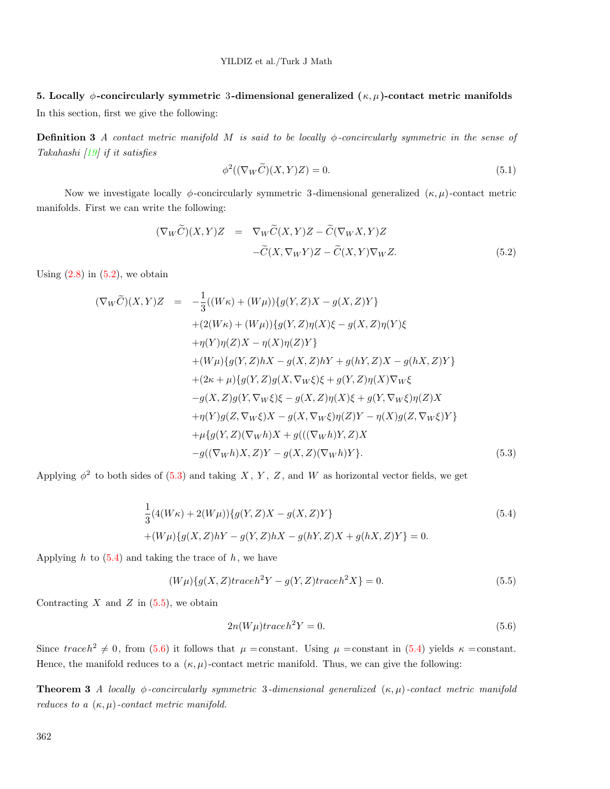# **5. Locally** *ϕ***-concircularly symmetric** 3**-dimensional generalized (***κ, µ***)-contact metric manifolds**

In this section, first we give the following:

**Definition 3** *A contact metric manifold M is said to be locally ϕ-concircularly symmetric in the sense of Takahashi [[19\]](#page-12-5) if it satisfies*

$$
\phi^2((\nabla_W \widetilde{C})(X,Y)Z) = 0.
$$
\n(5.1)

Now we investigate locally  $\phi$ -concircularly symmetric 3-dimensional generalized  $(\kappa, \mu)$ -contact metric manifolds. First we can write the following:

<span id="page-6-0"></span>
$$
(\nabla_W \widetilde{C})(X,Y)Z = \nabla_W \widetilde{C}(X,Y)Z - \widetilde{C}(\nabla_W X,Y)Z
$$

$$
-\widetilde{C}(X,\nabla_W Y)Z - \widetilde{C}(X,Y)\nabla_W Z.
$$
(5.2)

Using  $(2.8)$  $(2.8)$  in  $(5.2)$  $(5.2)$ , we obtain

<span id="page-6-1"></span>
$$
(\nabla_{W}\widetilde{C})(X,Y)Z = -\frac{1}{3}((W\kappa) + (W\mu))\{g(Y,Z)X - g(X,Z)Y\} + (2(W\kappa) + (W\mu))\{g(Y,Z)\eta(X)\xi - g(X,Z)\eta(Y)\xi + \eta(Y)\eta(Z)X - \eta(X)\eta(Z)Y\} + (W\mu)\{g(Y,Z)hX - g(X,Z)hY + g(hY,Z)X - g(hX,Z)Y\} + (2\kappa + \mu)\{g(Y,Z)g(X,\nabla_{W}\xi)\xi + g(Y,Z)\eta(X)\nabla_{W}\xi - g(X,Z)g(Y,\nabla_{W}\xi)\xi - g(X,Z)\eta(X)\xi + g(Y,\nabla_{W}\xi)\eta(Z)X + \eta(Y)g(Z,\nabla_{W}\xi)X - g(X,\nabla_{W}\xi)\eta(Z)Y - \eta(X)g(Z,\nabla_{W}\xi)Y\} + \mu\{g(Y,Z)(\nabla_{W}h)X + g(((\nabla_{W}h)Y,Z)X - g((\nabla_{W}h)X,Z)Y - g(X,Z)(\nabla_{W}h)Y\}.
$$
\n(5.3)

Applying  $\phi^2$  to both sides of [\(5.3](#page-6-1)) and taking *X*, *Y*, *Z*, and *W* as horizontal vector fields, we get

<span id="page-6-2"></span>
$$
\frac{1}{3}(4(W\kappa) + 2(W\mu))\{g(Y,Z)X - g(X,Z)Y\}
$$
\n
$$
+(W\mu)\{g(X,Z)hY - g(Y,Z)hX - g(hY,Z)X + g(hX,Z)Y\} = 0.
$$
\n(5.4)

Applying  $h$  to  $(5.4)$  $(5.4)$  and taking the trace of  $h$ , we have

$$
(W\mu)\lbrace g(X,Z)traceh^{2}Y - g(Y,Z)traceh^{2}X\rbrace = 0.
$$
\n
$$
(5.5)
$$

Contracting  $X$  and  $Z$  in  $(5.5)$  $(5.5)$  $(5.5)$ , we obtain

<span id="page-6-4"></span><span id="page-6-3"></span>
$$
2n(W\mu)traceh^2Y = 0.
$$
\n(5.6)

Since  $traceh^2 \neq 0$ , from ([5.6](#page-6-4)) it follows that  $\mu = constant$ . Using  $\mu = constant$  in [\(5.4](#page-6-2)) yields  $\kappa = constant$ . Hence, the manifold reduces to a  $(\kappa, \mu)$ -contact metric manifold. Thus, we can give the following:

**Theorem 3** *A locally ϕ-concircularly symmetric* 3*-dimensional generalized* (*κ, µ*)*-contact metric manifold reduces to a* (*κ, µ*)*-contact metric manifold.*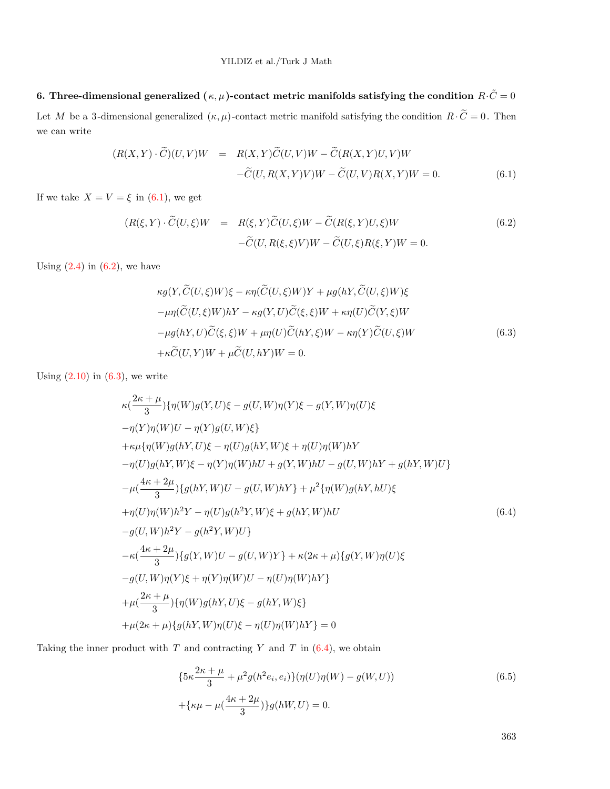**6. Three-dimensional generalized**  $(\kappa, \mu)$ -contact metric manifolds satisfying the condition  $R \cdot \tilde{C} = 0$ Let *M* be a 3-dimensional generalized  $(\kappa, \mu)$ -contact metric manifold satisfying the condition  $R \cdot \tilde{C} = 0$ . Then we can write

<span id="page-7-0"></span>
$$
(R(X,Y)\cdot\widetilde{C})(U,V)W = R(X,Y)\widetilde{C}(U,V)W - \widetilde{C}(R(X,Y)U,V)W
$$

$$
-\widetilde{C}(U,R(X,Y)V)W - \widetilde{C}(U,V)R(X,Y)W = 0.
$$
(6.1)

If we take  $X = V = \xi$  in [\(6.1\)](#page-7-0), we get

<span id="page-7-1"></span>
$$
(R(\xi, Y) \cdot \widetilde{C}(U, \xi)W = R(\xi, Y)\widetilde{C}(U, \xi)W - \widetilde{C}(R(\xi, Y)U, \xi)W
$$
  
 
$$
-\widetilde{C}(U, R(\xi, \xi)V)W - \widetilde{C}(U, \xi)R(\xi, Y)W = 0.
$$
 (6.2)

Using  $(2.4)$  $(2.4)$  in  $(6.2)$  $(6.2)$ , we have

<span id="page-7-2"></span>
$$
\kappa g(Y, \widetilde{C}(U,\xi)W)\xi - \kappa \eta(\widetilde{C}(U,\xi)W)Y + \mu g(hY, \widetilde{C}(U,\xi)W)\xi
$$
  
\n
$$
-\mu \eta(\widetilde{C}(U,\xi)W)hY - \kappa g(Y,U)\widetilde{C}(\xi,\xi)W + \kappa \eta(U)\widetilde{C}(Y,\xi)W
$$
  
\n
$$
-\mu g(hY,U)\widetilde{C}(\xi,\xi)W + \mu \eta(U)\widetilde{C}(hY,\xi)W - \kappa \eta(Y)\widetilde{C}(U,\xi)W
$$
  
\n
$$
+\kappa \widetilde{C}(U,Y)W + \mu \widetilde{C}(U,hY)W = 0.
$$
\n(6.3)

Using  $(2.10)$  $(2.10)$  in  $(6.3)$  $(6.3)$ , we write

<span id="page-7-3"></span>
$$
\kappa\left(\frac{2\kappa+\mu}{3}\right)\{\eta(W)g(Y,U)\xi-g(U,W)\eta(Y)\xi-g(Y,W)\eta(U)\xi
$$
  
\n
$$
-\eta(Y)\eta(W)U-\eta(Y)g(U,W)\xi\}
$$
  
\n
$$
+\kappa\mu\{\eta(W)g(hY,U)\xi-\eta(U)g(hY,W)\xi+\eta(U)\eta(W)hY
$$
  
\n
$$
-\eta(U)g(hY,W)\xi-\eta(Y)\eta(W)hU+g(Y,W)hU-g(U,W)hY+g(hY,W)U\}
$$
  
\n
$$
-\mu\frac{4\kappa+2\mu}{3}\{\eta(hY,W)U-g(U,W)hY\}+\mu^{2}\{\eta(W)g(hY,hU)\xi
$$
  
\n
$$
+\eta(U)\eta(W)h^{2}Y-\eta(U)g(h^{2}Y,W)\xi+g(hY,W)hU
$$
  
\n
$$
-g(U,W)h^{2}Y-g(h^{2}Y,W)U\}
$$
  
\n
$$
-\kappa\left(\frac{4\kappa+2\mu}{3}\right)\{g(Y,W)U-g(U,W)Y\}+\kappa(2\kappa+\mu)\{g(Y,W)\eta(U)\xi
$$
  
\n
$$
-g(U,W)\eta(Y)\xi+\eta(Y)\eta(W)U-\eta(U)\eta(W)hY\}
$$
  
\n
$$
+\mu\left(\frac{2\kappa+\mu}{3}\right)\{\eta(W)g(hY,U)\xi-g(hY,W)\xi\}
$$
  
\n
$$
+\mu(2\kappa+\mu)\{g(hY,W)\eta(U)\xi-\eta(U)\eta(W)hY\}=0
$$

Taking the inner product with *T* and contracting *Y* and *T* in [\(6.4](#page-7-3)), we obtain

<span id="page-7-4"></span>
$$
\{5\kappa \frac{2\kappa + \mu}{3} + \mu^2 g(h^2 e_i, e_i)\} (\eta(U)\eta(W) - g(W, U))
$$
\n
$$
+\{\kappa \mu - \mu(\frac{4\kappa + 2\mu}{3})\} g(hW, U) = 0.
$$
\n(6.5)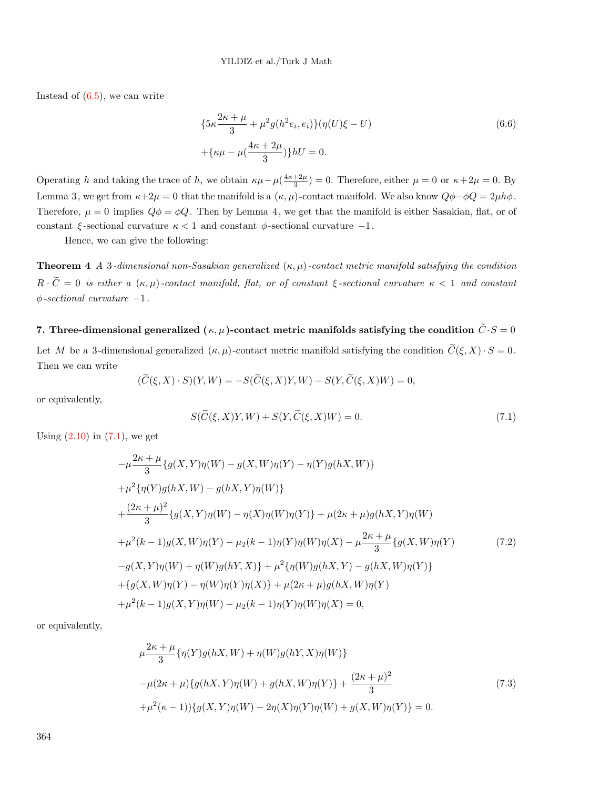Instead of  $(6.5)$  $(6.5)$ , we can write

$$
\{5\kappa \frac{2\kappa + \mu}{3} + \mu^2 g(h^2 e_i, e_i)\} (\eta(U)\xi - U) + \{\kappa \mu - \mu(\frac{4\kappa + 2\mu}{3})\} hU = 0.
$$
\n(6.6)

Operating *h* and taking the trace of *h*, we obtain  $\kappa\mu-\mu(\frac{4\kappa+2\mu}{3})=0$ . Therefore, either  $\mu=0$  or  $\kappa+2\mu=0$ . By Lemma 3, we get from  $\kappa + 2\mu = 0$  that the manifold is a  $(\kappa, \mu)$ -contact manifold. We also know  $Q\phi - \phi Q = 2\mu h\phi$ . Therefore,  $\mu = 0$  implies  $Q\phi = \phi Q$ . Then by Lemma 4, we get that the manifold is either Sasakian, flat, or of constant *ξ* -sectional curvature *κ <* 1 and constant *ϕ*-sectional curvature *−*1.

Hence, we can give the following:

**Theorem 4** *A* 3*-dimensional non-Sasakian generalized* (*κ, µ*)*-contact metric manifold satisfying the condition*  $R \cdot \tilde{C} = 0$  *is either a*  $(\kappa, \mu)$ *-contact manifold, flat, or of constant*  $\xi$ *-sectional curvature*  $\kappa < 1$  *and constant ϕ-sectional curvature −*1*.*

# **7.** Three-dimensional generalized  $(\kappa, \mu)$ -contact metric manifolds satisfying the condition  $\tilde{C} \cdot S = 0$

Let *M* be a 3-dimensional generalized  $(\kappa, \mu)$ -contact metric manifold satisfying the condition  $\tilde{C}(\xi, X) \cdot S = 0$ . Then we can write

<span id="page-8-0"></span>
$$
(\widetilde{C}(\xi, X) \cdot S)(Y, W) = -S(\widetilde{C}(\xi, X)Y, W) - S(Y, \widetilde{C}(\xi, X)W) = 0,
$$

or equivalently,

$$
S(\widetilde{C}(\xi, X)Y, W) + S(Y, \widetilde{C}(\xi, X)W) = 0.
$$
\n
$$
(7.1)
$$

Using  $(2.10)$  $(2.10)$  in  $(7.1)$  $(7.1)$ , we get

$$
-\mu \frac{2\kappa + \mu}{3} \{g(X, Y)\eta(W) - g(X, W)\eta(Y) - \eta(Y)g(hX, W)\}\
$$
  
+  $\mu^2 \{\eta(Y)g(hX, W) - g(hX, Y)\eta(W)\}\$   
+  $\frac{(2\kappa + \mu)^2}{3} \{g(X, Y)\eta(W) - \eta(X)\eta(W)\eta(Y)\} + \mu(2\kappa + \mu)g(hX, Y)\eta(W)\$   
+  $\mu^2(k - 1)g(X, W)\eta(Y) - \mu_2(k - 1)\eta(Y)\eta(W)\eta(X) - \mu \frac{2\kappa + \mu}{3} \{g(X, W)\eta(Y)\}$   
-  $g(X, Y)\eta(W) + \eta(W)g(hY, X)\} + \mu^2 \{\eta(W)g(hX, Y) - g(hX, W)\eta(Y)\}\$   
+  $\{g(X, W)\eta(Y) - \eta(W)\eta(Y)\eta(X)\} + \mu(2\kappa + \mu)g(hX, W)\eta(Y)\$   
+  $\mu^2(k - 1)g(X, Y)\eta(W) - \mu_2(k - 1)\eta(Y)\eta(W)\eta(X) = 0,$  (11)

or equivalently,

<span id="page-8-1"></span>
$$
\mu \frac{2\kappa + \mu}{3} \{\eta(Y)g(hX, W) + \eta(W)g(hY, X)\eta(W)\}\
$$
  

$$
-\mu(2\kappa + \mu)\{g(hX, Y)\eta(W) + g(hX, W)\eta(Y)\} + \frac{(2\kappa + \mu)^2}{3}
$$
  

$$
+\mu^2(\kappa - 1)\{\eta(X, Y)\eta(W) - 2\eta(X)\eta(Y)\eta(W) + g(X, W)\eta(Y)\} = 0.
$$
 (7.3)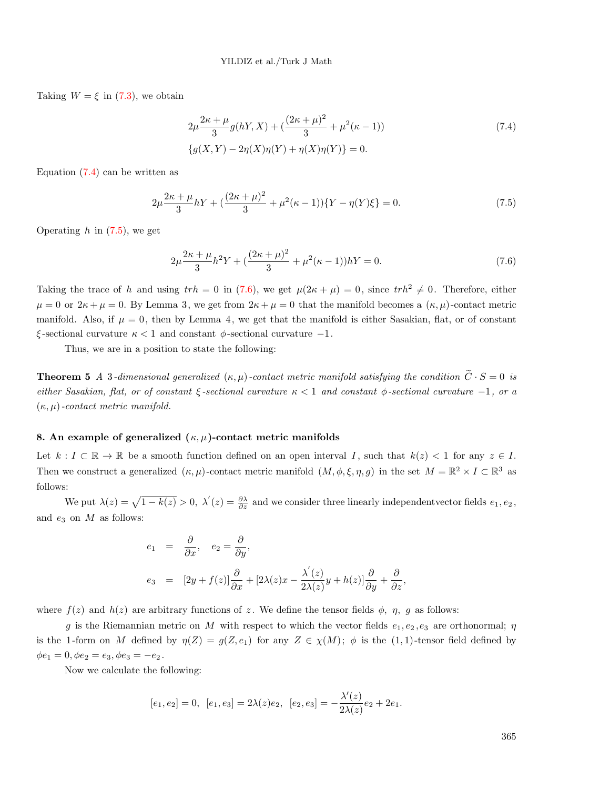Taking  $W = \xi$  in [\(7.3](#page-8-1)), we obtain

<span id="page-9-0"></span>
$$
2\mu \frac{2\kappa + \mu}{3} g(hY, X) + \left(\frac{(2\kappa + \mu)^2}{3} + \mu^2(\kappa - 1)\right)
$$
  

$$
\{g(X, Y) - 2\eta(X)\eta(Y) + \eta(X)\eta(Y)\} = 0.
$$
 (7.4)

Equation  $(7.4)$  $(7.4)$  can be written as

<span id="page-9-1"></span>
$$
2\mu \frac{2\kappa + \mu}{3} hY + \left(\frac{(2\kappa + \mu)^2}{3} + \mu^2(\kappa - 1)\right) \{Y - \eta(Y)\xi\} = 0. \tag{7.5}
$$

Operating *h* in [\(7.5](#page-9-1)), we get

<span id="page-9-2"></span>
$$
2\mu \frac{2\kappa + \mu}{3}h^2 Y + \left(\frac{(2\kappa + \mu)^2}{3} + \mu^2(\kappa - 1)\right)hY = 0.
$$
\n(7.6)

Taking the trace of *h* and using  $trh = 0$  in ([7.6\)](#page-9-2), we get  $\mu(2\kappa + \mu) = 0$ , since  $trh^2 \neq 0$ . Therefore, either  $\mu = 0$  or  $2\kappa + \mu = 0$ . By Lemma 3, we get from  $2\kappa + \mu = 0$  that the manifold becomes a  $(\kappa, \mu)$ -contact metric manifold. Also, if  $\mu = 0$ , then by Lemma 4, we get that the manifold is either Sasakian, flat, or of constant *ξ* -sectional curvature *κ <* 1 and constant *ϕ*-sectional curvature *−*1.

Thus, we are in a position to state the following:

**Theorem 5** *A* 3*-dimensional generalized*  $(\kappa, \mu)$ *-contact metric manifold satisfying the condition*  $\tilde{C} \cdot S = 0$  *is either Sasakian, flat, or of constant ξ -sectional curvature κ <* 1 *and constant ϕ-sectional curvature −*1*, or a* (*κ, µ*)*-contact metric manifold.*

#### **8. An example of generalized (***κ, µ***)-contact metric manifolds**

Let  $k: I \subset \mathbb{R} \to \mathbb{R}$  be a smooth function defined on an open interval *I*, such that  $k(z) < 1$  for any  $z \in I$ . Then we construct a generalized  $(\kappa, \mu)$ -contact metric manifold  $(M, \phi, \xi, \eta, g)$  in the set  $M = \mathbb{R}^2 \times I \subset \mathbb{R}^3$  as follows:

We put  $\lambda(z) = \sqrt{1 - k(z)} > 0$ ,  $\lambda'(z) = \frac{\partial \lambda}{\partial z}$  and we consider three linearly independent vector fields  $e_1, e_2$ , and *e*<sup>3</sup> on *M* as follows:

$$
e_1 = \frac{\partial}{\partial x}, \quad e_2 = \frac{\partial}{\partial y},
$$
  
\n
$$
e_3 = [2y + f(z)] \frac{\partial}{\partial x} + [2\lambda(z)x - \frac{\lambda'(z)}{2\lambda(z)}y + h(z)] \frac{\partial}{\partial y} + \frac{\partial}{\partial z},
$$

where  $f(z)$  and  $h(z)$  are arbitrary functions of z. We define the tensor fields  $\phi$ ,  $\eta$ , g as follows:

*g* is the Riemannian metric on *M* with respect to which the vector fields  $e_1, e_2, e_3$  are orthonormal; *η* is the 1-form on *M* defined by  $\eta(Z) = g(Z, e_1)$  for any  $Z \in \chi(M)$ ;  $\phi$  is the (1,1)-tensor field defined by  $\phi e_1 = 0, \phi e_2 = e_3, \phi e_3 = -e_2.$ 

Now we calculate the following:

$$
[e_1, e_2] = 0
$$
,  $[e_1, e_3] = 2\lambda(z)e_2$ ,  $[e_2, e_3] = -\frac{\lambda'(z)}{2\lambda(z)}e_2 + 2e_1$ .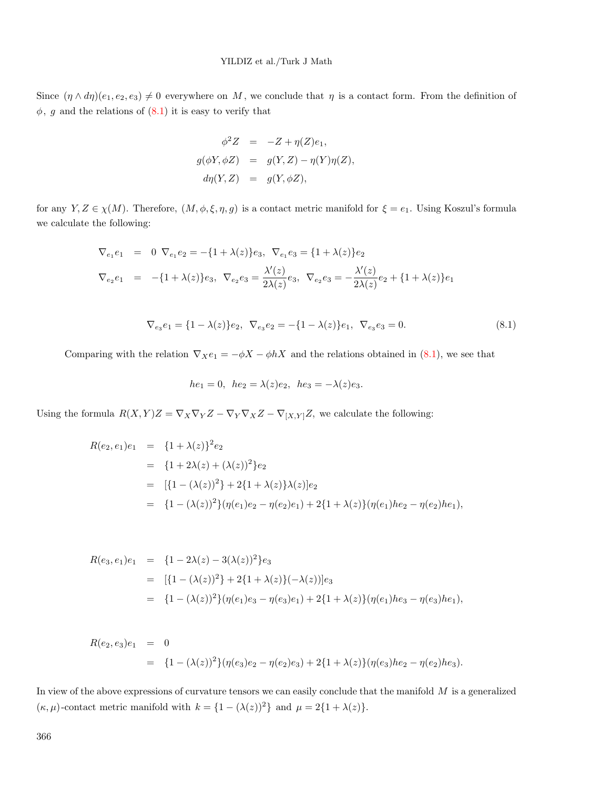Since  $(\eta \wedge d\eta)(e_1, e_2, e_3) \neq 0$  everywhere on *M*, we conclude that  $\eta$  is a contact form. From the definition of  $\phi$ , *g* and the relations of  $(8.1)$  it is easy to verify that

$$
\phi^2 Z = -Z + \eta(Z)e_1,
$$
  
\n
$$
g(\phi Y, \phi Z) = g(Y, Z) - \eta(Y)\eta(Z),
$$
  
\n
$$
d\eta(Y, Z) = g(Y, \phi Z),
$$

for any *Y*,  $Z \in \chi(M)$ . Therefore,  $(M, \phi, \xi, \eta, g)$  is a contact metric manifold for  $\xi = e_1$ . Using Koszul's formula we calculate the following:

<span id="page-10-0"></span>
$$
\nabla_{e_1} e_1 = 0 \nabla_{e_1} e_2 = -\{1 + \lambda(z)\} e_3, \nabla_{e_1} e_3 = \{1 + \lambda(z)\} e_2
$$
\n
$$
\nabla_{e_2} e_1 = -\{1 + \lambda(z)\} e_3, \nabla_{e_2} e_3 = \frac{\lambda'(z)}{2\lambda(z)} e_3, \nabla_{e_2} e_3 = -\frac{\lambda'(z)}{2\lambda(z)} e_2 + \{1 + \lambda(z)\} e_1
$$

$$
\nabla_{e_3} e_1 = \{1 - \lambda(z)\} e_2, \ \nabla_{e_3} e_2 = -\{1 - \lambda(z)\} e_1, \ \nabla_{e_3} e_3 = 0. \tag{8.1}
$$

Comparing with the relation  $\nabla_X e_1 = -\phi X - \phi hX$  and the relations obtained in [\(8.1](#page-10-0)), we see that

$$
he_1 = 0
$$
,  $he_2 = \lambda(z)e_2$ ,  $he_3 = -\lambda(z)e_3$ .

Using the formula  $R(X, Y)Z = \nabla_X \nabla_Y Z - \nabla_Y \nabla_X Z - \nabla_{[X, Y]} Z$ , we calculate the following:

$$
R(e_2, e_1)e_1 = \{1 + \lambda(z)\}^2 e_2
$$
  
=  $\{1 + 2\lambda(z) + (\lambda(z))^2\} e_2$   
=  $[\{1 - (\lambda(z))^2\} + 2\{1 + \lambda(z)\}\lambda(z)]e_2$   
=  $\{1 - (\lambda(z))^2\}(\eta(e_1)e_2 - \eta(e_2)e_1) + 2\{1 + \lambda(z)\}(\eta(e_1)he_2 - \eta(e_2)he_1),$ 

$$
R(e_3, e_1)e_1 = \{1 - 2\lambda(z) - 3(\lambda(z))^2\}e_3
$$
  
= 
$$
[\{1 - (\lambda(z))^2\} + 2\{1 + \lambda(z)\}(-\lambda(z))]e_3
$$
  
= 
$$
\{1 - (\lambda(z))^2\}(\eta(e_1)e_3 - \eta(e_3)e_1) + 2\{1 + \lambda(z)\}(\eta(e_1)he_3 - \eta(e_3)he_1),
$$

$$
R(e_2, e_3)e_1 = 0
$$
  
=  $\{1 - (\lambda(z))^2\}(\eta(e_3)e_2 - \eta(e_2)e_3) + 2\{1 + \lambda(z)\}(\eta(e_3)he_2 - \eta(e_2)he_3).$ 

In view of the above expressions of curvature tensors we can easily conclude that the manifold *M* is a generalized  $(\kappa, \mu)$ -contact metric manifold with  $k = \{1 - (\lambda(z))^2\}$  and  $\mu = 2\{1 + \lambda(z)\}$ .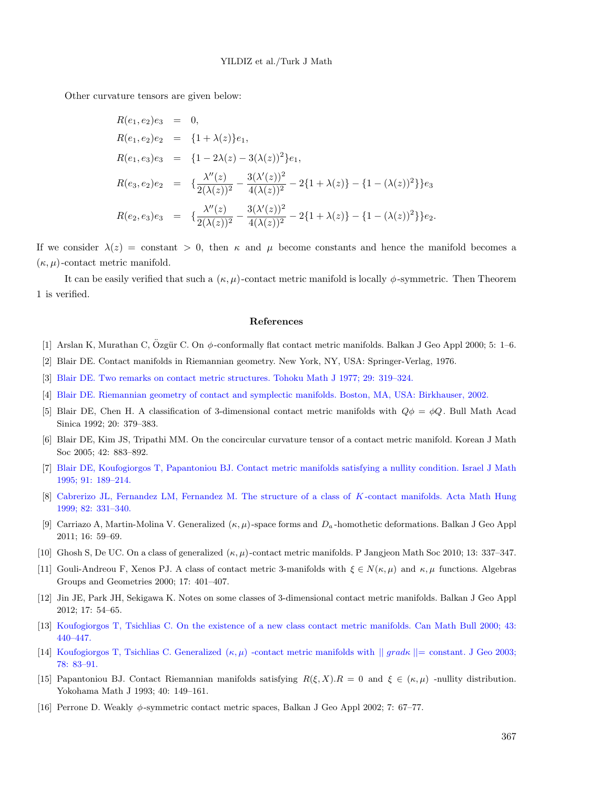Other curvature tensors are given below:

$$
R(e_1, e_2)e_3 = 0,
$$
  
\n
$$
R(e_1, e_2)e_2 = \{1 + \lambda(z)\}e_1,
$$
  
\n
$$
R(e_1, e_3)e_3 = \{1 - 2\lambda(z) - 3(\lambda(z))^2\}e_1,
$$
  
\n
$$
R(e_3, e_2)e_2 = \{\frac{\lambda''(z)}{2(\lambda(z))^2} - \frac{3(\lambda'(z))^2}{4(\lambda(z))^2} - 2\{1 + \lambda(z)\} - \{1 - (\lambda(z))^2\}\}e_3
$$
  
\n
$$
R(e_2, e_3)e_3 = \{\frac{\lambda''(z)}{2(\lambda(z))^2} - \frac{3(\lambda'(z))^2}{4(\lambda(z))^2} - 2\{1 + \lambda(z)\} - \{1 - (\lambda(z))^2\}\}e_2.
$$

If we consider  $\lambda(z) = \text{constant} > 0$ , then  $\kappa$  and  $\mu$  become constants and hence the manifold becomes a  $(\kappa, \mu)$ -contact metric manifold.

It can be easily verified that such a  $(\kappa, \mu)$ -contact metric manifold is locally  $\phi$ -symmetric. Then Theorem 1 is verified.

#### **References**

- <span id="page-11-1"></span>[1] Arslan K, Murathan C, Özgür C. On φ-conformally flat contact metric manifolds. Balkan J Geo Appl 2000; 5: 1–6.
- <span id="page-11-12"></span>[2] Blair DE. Contact manifolds in Riemannian geometry. New York, NY, USA: Springer-Verlag, 1976.
- <span id="page-11-13"></span>[3] [Blair DE. Two remarks on contact metric structures. Tohoku Math J 1977; 29: 319–324.](http://dx.doi.org/10.2748/tmj/1178240602)
- <span id="page-11-11"></span>[4] [Blair DE. Riemannian geometry of contact and symplectic manifolds. Boston, MA, USA: Birkhauser, 2002.](http://dx.doi.org/10.1007/978-1-4757-3604-5)
- <span id="page-11-14"></span>[5] Blair DE, Chen H. A classification of 3-dimensional contact metric manifolds with *Qϕ* = *ϕQ*. Bull Math Acad Sinica 1992; 20: 379–383.
- <span id="page-11-10"></span>[6] Blair DE, Kim JS, Tripathi MM. On the concircular curvature tensor of a contact metric manifold. Korean J Math Soc 2005; 42: 883–892.
- <span id="page-11-0"></span>[7] [Blair DE, Koufogiorgos T, Papantoniou BJ. Contact metric manifolds satisfying a nullity condition. Israel J Math](http://dx.doi.org/10.1007/BF02761646) [1995; 91: 189–214.](http://dx.doi.org/10.1007/BF02761646)
- <span id="page-11-15"></span>[8] [Cabrerizo JL, Fernandez LM, Fernandez M. The structure of a class of](http://dx.doi.org/10.1023/A:1006696410826) *K* -contact manifolds. Acta Math Hung [1999; 82: 331–340.](http://dx.doi.org/10.1023/A:1006696410826)
- <span id="page-11-2"></span>[9] Carriazo A, Martin-Molina V. Generalized (*κ, µ*) -space forms and *D<sup>a</sup>* -homothetic deformations. Balkan J Geo Appl 2011; 16: 59–69.
- <span id="page-11-9"></span>[10] Ghosh S, De UC. On a class of generalized (*κ, µ*) -contact metric manifolds. P Jangjeon Math Soc 2010; 13: 337–347.
- <span id="page-11-3"></span>[11] Gouli-Andreou F, Xenos PJ. A class of contact metric 3-manifolds with  $\xi \in N(\kappa, \mu)$  and  $\kappa, \mu$  functions. Algebras Groups and Geometries 2000; 17: 401–407.
- <span id="page-11-4"></span>[12] Jin JE, Park JH, Sekigawa K. Notes on some classes of 3-dimensional contact metric manifolds. Balkan J Geo Appl 2012; 17: 54–65.
- <span id="page-11-7"></span>[13] [Koufogiorgos T, Tsichlias C. On the existence of a new class contact metric manifolds. Can Math Bull 2000; 43:](http://dx.doi.org/10.4153/CMB-2000-052-6) [440–447.](http://dx.doi.org/10.4153/CMB-2000-052-6)
- <span id="page-11-8"></span>[14] [Koufogiorgos T, Tsichlias C. Generalized \(](http://dx.doi.org/10.1007/s00022-003-1678-y)*κ, µ*) -contact metric manifolds with *|| gradκ ||*= constant. J Geo 2003; [78: 83–91.](http://dx.doi.org/10.1007/s00022-003-1678-y)
- <span id="page-11-6"></span>[15] Papantoniou BJ. Contact Riemannian manifolds satisfying  $R(\xi, X) \cdot R = 0$  and  $\xi \in (\kappa, \mu)$  -nullity distribution. Yokohama Math J 1993; 40: 149–161.
- <span id="page-11-5"></span>[16] Perrone D. Weakly *ϕ*-symmetric contact metric spaces, Balkan J Geo Appl 2002; 7: 67–77.